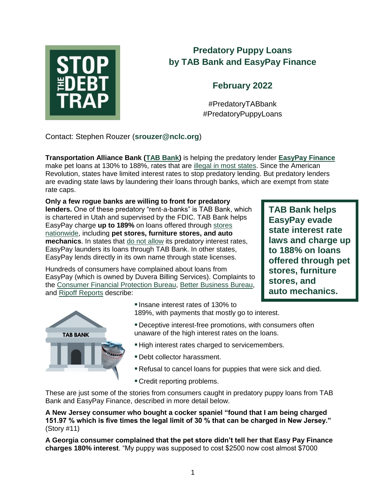

# **Predatory Puppy Loans by TAB Bank and EasyPay Finance**

# **February 2022**

#PredatoryTABbank #PredatoryPuppyLoans

Contact: Stephen Rouzer (**<srouzer@nclc.org>**)

**Transportation Alliance Bank [\(TAB Bank\)](https://www.tabbank.com/)** is helping the predatory lender **[EasyPay Finance](https://www.easypayfinance.com/)** make pet loans at 130% to 188%, rates that are [illegal in most states.](http://bit.ly/state-rate-caps) Since the American Revolution, states have limited interest rates to stop predatory lending. But predatory lenders are evading state laws by laundering their loans through banks, which are exempt from state rate caps.

**Only a few rogue banks are willing to front for predatory lenders.** One of these predatory "rent-a-banks" is TAB Bank, which is chartered in Utah and supervised by the FDIC. TAB Bank helps EasyPay charge **up to 189%** on loans offered through [stores](https://findastore.easypayfinance.com/web?p=wwoJgh8mIXLc92ARiufL0A%3D%3D) nationwide, including **pet stores, furniture stores, and auto mechanics**. In states that [do not allow](https://bit.ly/rentabank-watch-list) its predatory interest rates, EasyPay launders its loans through TAB Bank. In other states, EasyPay lends directly in its own name through state licenses.

**TAB Bank helps EasyPay evade state interest rate laws and charge up to 188% on loans offered through pet stores, furniture stores, and auto mechanics.**

Hundreds of consumers have complained about loans from EasyPay (which is owned by Duvera Billing Services). Complaints to the [Consumer Financial Protection Bureau,](https://www.consumerfinance.gov/data-research/consumer-complaints/search/?date_received_max=2022-02-10&date_received_min=2011-12-01&has_narrative=true&page=1&searchField=all&size=25&sort=created_date_desc&tab=List) [Better Business Bureau,](https://www.bbb.org/us/ca/carlsbad/profile/billing-services/easypay-finance-1126-20004961/complaints) and [Ripoff Reports](https://www.ripoffreport.com/reports/specific_search/duvera) describe:



**Insane interest rates of 130% to** 189%, with payments that mostly go to interest.

- Deceptive interest-free promotions, with consumers often unaware of the high interest rates on the loans.
- **High interest rates charged to servicemembers.**
- Debt collector harassment.
- Refusal to cancel loans for puppies that were sick and died.
- Credit reporting problems.

These are just some of the stories from consumers caught in predatory puppy loans from TAB Bank and EasyPay Finance, described in more detail below.

**A New Jersey consumer who bought a cocker spaniel "found that I am being charged 151.97 % which is five times the legal limit of 30 % that can be charged in New Jersey."** (Story #11)

**A Georgia consumer complained that the pet store didn't tell her that Easy Pay Finance charges 180% interest**. "My puppy was supposed to cost \$2500 now cost almost \$7000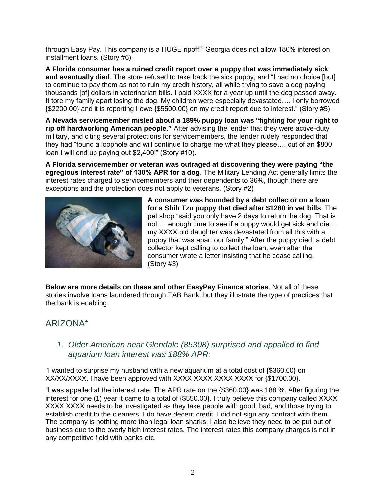through Easy Pay. This company is a HUGE ripoff!" Georgia does not allow 180% interest on installment loans. (Story #6)

**A Florida consumer has a ruined credit report over a puppy that was immediately sick and eventually died**. The store refused to take back the sick puppy, and "I had no choice [but] to continue to pay them as not to ruin my credit history, all while trying to save a dog paying thousands [of] dollars in veterinarian bills. I paid XXXX for a year up until the dog passed away. It tore my family apart losing the dog. My children were especially devastated…. I only borrowed {\$2200.00} and it is reporting I owe {\$5500.00} on my credit report due to interest." (Story #5)

**A Nevada servicemember misled about a 189% puppy loan was "fighting for your right to rip off hardworking American people."** After advising the lender that they were active-duty military, and citing several protections for servicemembers, the lender rudely responded that they had "found a loophole and will continue to charge me what they please…. out of an \$800 loan I will end up paying out \$2,400!" (Story #10).

**A Florida servicemember or veteran was outraged at discovering they were paying "the egregious interest rate" of 130% APR for a dog**. The Military Lending Act generally limits the interest rates charged to servicemembers and their dependents to 36%, though there are exceptions and the protection does not apply to veterans. (Story #2)



**A consumer was hounded by a debt collector on a loan for a Shih Tzu puppy that died after \$1280 in vet bills**. The pet shop "said you only have 2 days to return the dog. That is not … enough time to see if a puppy would get sick and die…. my XXXX old daughter was devastated from all this with a puppy that was apart our family." After the puppy died, a debt collector kept calling to collect the loan, even after the consumer wrote a letter insisting that he cease calling. (Story #3)

**Below are more details on these and other EasyPay Finance stories**. Not all of these stories involve loans laundered through TAB Bank, but they illustrate the type of practices that the bank is enabling.

### ARIZONA\*

#### *1. Older American near Glendale (85308) surprised and appalled to find aquarium loan interest was 188% APR:*

"I wanted to surprise my husband with a new aquarium at a total cost of {\$360.00} on XX/XX/XXXX. I have been approved with XXXX XXXX XXXX XXXX for {\$1700.00}.

"I was appalled at the interest rate. The APR rate on the {\$360.00} was 188 %. After figuring the interest for one (1) year it came to a total of {\$550.00}. I truly believe this company called XXXX XXXX XXXX needs to be investigated as they take people with good, bad, and those trying to establish credit to the cleaners. I do have decent credit. I did not sign any contract with them. The company is nothing more than legal loan sharks. I also believe they need to be put out of business due to the overly high interest rates. The interest rates this company charges is not in any competitive field with banks etc.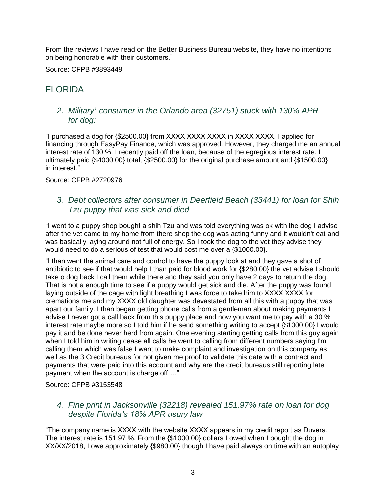From the reviews I have read on the Better Business Bureau website, they have no intentions on being honorable with their customers."

Source: CFPB #3893449

## FLORIDA

#### *2. Military<sup>1</sup> consumer in the Orlando area (32751) stuck with 130% APR for dog:*

"I purchased a dog for {\$2500.00} from XXXX XXXX XXXX in XXXX XXXX. I applied for financing through EasyPay Finance, which was approved. However, they charged me an annual interest rate of 130 %. I recently paid off the loan, because of the egregious interest rate. I ultimately paid {\$4000.00} total, {\$2500.00} for the original purchase amount and {\$1500.00} in interest."

Source: CFPB #2720976

#### *3. Debt collectors after consumer in Deerfield Beach (33441) for loan for Shih Tzu puppy that was sick and died*

"I went to a puppy shop bought a shih Tzu and was told everything was ok with the dog I advise after the vet came to my home from there shop the dog was acting funny and it wouldn't eat and was basically laying around not full of energy. So I took the dog to the vet they advise they would need to do a serious of test that would cost me over a {\$1000.00}.

"I than went the animal care and control to have the puppy look at and they gave a shot of antibiotic to see if that would help I than paid for blood work for {\$280.00} the vet advise I should take o dog back I call them while there and they said you only have 2 days to return the dog. That is not a enough time to see if a puppy would get sick and die. After the puppy was found laying outside of the cage with light breathing I was force to take him to XXXX XXXX for cremations me and my XXXX old daughter was devastated from all this with a puppy that was apart our family. I than began getting phone calls from a gentleman about making payments I advise I never got a call back from this puppy place and now you want me to pay with a 30 % interest rate maybe more so I told him if he send something writing to accept {\$1000.00} I would pay it and be done never herd from again. One evening starting getting calls from this guy again when I told him in writing cease all calls he went to calling from different numbers saying I'm calling them which was false I want to make complaint and investigation on this company as well as the 3 Credit bureaus for not given me proof to validate this date with a contract and payments that were paid into this account and why are the credit bureaus still reporting late payment when the account is charge off…."

Source: CFPB #3153548

#### *4. Fine print in Jacksonville (32218) revealed 151.97% rate on loan for dog despite Florida's 18% APR usury law*

"The company name is XXXX with the website XXXX appears in my credit report as Duvera. The interest rate is 151.97 %. From the {\$1000.00} dollars I owed when I bought the dog in XX/XX/2018, I owe approximately {\$980.00} though I have paid always on time with an autoplay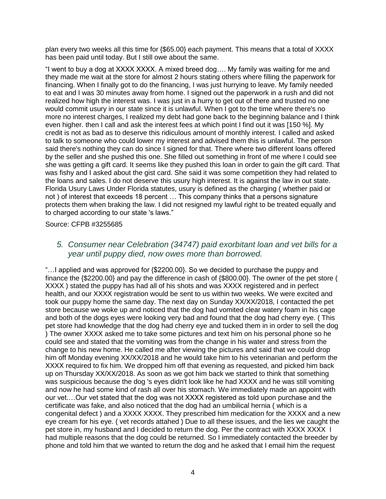plan every two weeks all this time for {\$65.00} each payment. This means that a total of XXXX has been paid until today. But I still owe about the same.

"I went to buy a dog at XXXX XXXX. A mixed breed dog…. My family was waiting for me and they made me wait at the store for almost 2 hours stating others where filling the paperwork for financing. When I finally got to do the financing, I was just hurrying to leave. My family needed to eat and I was 30 minutes away from home. I signed out the paperwork in a rush and did not realized how high the interest was. I was just in a hurry to get out of there and trusted no one would commit usury in our state since it is unlawful. When I got to the time where there's no more no interest charges, I realized my debt had gone back to the beginning balance and I think even higher. then I call and ask the interest fees at which point I find out it was [150 %]. My credit is not as bad as to deserve this ridiculous amount of monthly interest. I called and asked to talk to someone who could lower my interest and advised them this is unlawful. The person said there's nothing they can do since I signed for that. There where two different loans offered by the seller and she pushed this one. She filled out something in front of me where I could see she was getting a gift card. It seems like they pushed this loan in order to gain the gift card. That was fishy and I asked about the gist card. She said it was some competition they had related to the loans and sales. I do not deserve this usury high interest. It is against the law in out state. Florida Usury Laws Under Florida statutes, usury is defined as the charging ( whether paid or not ) of interest that exceeds 18 percent … This company thinks that a persons signature protects them when braking the law. I did not resigned my lawful right to be treated equally and to charged according to our state 's laws."

#### Source: CFPB #3255685

#### *5. Consumer near Celebration (34747) paid exorbitant loan and vet bills for a year until puppy died, now owes more than borrowed.*

"…I applied and was approved for {\$2200.00}. So we decided to purchase the puppy and finance the {\$2200.00} and pay the difference in cash of {\$800.00}. The owner of the pet store ( XXXX ) stated the puppy has had all of his shots and was XXXX registered and in perfect health, and our XXXX registration would be sent to us within two weeks. We were excited and took our puppy home the same day. The next day on Sunday XX/XX/2018, I contacted the pet store because we woke up and noticed that the dog had vomited clear watery foam in his cage and both of the dogs eyes were looking very bad and found that the dog had cherry eye. ( This pet store had knowledge that the dog had cherry eye and tucked them in in order to sell the dog ) The owner XXXX asked me to take some pictures and text him on his personal phone so he could see and stated that the vomiting was from the change in his water and stress from the change to his new home. He called me after viewing the pictures and said that we could drop him off Monday evening XX/XX/2018 and he would take him to his veterinarian and perform the XXXX required to fix him. We dropped him off that evening as requested, and picked him back up on Thursday XX/XX/2018. As soon as we got him back we started to think that something was suspicious because the dog 's eyes didn't look like he had XXXX and he was still vomiting and now he had some kind of rash all over his stomach. We immediately made an appoint with our vet.…Our vet stated that the dog was not XXXX registered as told upon purchase and the certificate was fake, and also noticed that the dog had an umbilical hernia ( which is a congenital defect ) and a XXXX XXXX. They prescribed him medication for the XXXX and a new eye cream for his eye. ( vet records attahed ) Due to all these issues, and the lies we caught the pet store in, my husband and I decided to return the dog. Per the contract with XXXX XXXX I had multiple reasons that the dog could be returned. So I immediately contacted the breeder by phone and told him that we wanted to return the dog and he asked that I email him the request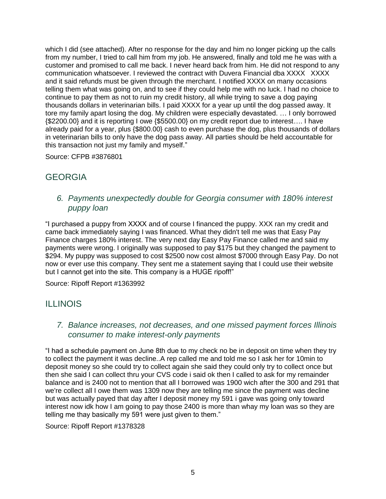which I did (see attached). After no response for the day and him no longer picking up the calls from my number, I tried to call him from my job. He answered, finally and told me he was with a customer and promised to call me back. I never heard back from him. He did not respond to any communication whatsoever. I reviewed the contract with Duvera Financial dba XXXX XXXX and it said refunds must be given through the merchant. I notified XXXX on many occasions telling them what was going on, and to see if they could help me with no luck. I had no choice to continue to pay them as not to ruin my credit history, all while trying to save a dog paying thousands dollars in veterinarian bills. I paid XXXX for a year up until the dog passed away. It tore my family apart losing the dog. My children were especially devastated. … I only borrowed {\$2200.00} and it is reporting I owe {\$5500.00} on my credit report due to interest…. I have already paid for a year, plus {\$800.00} cash to even purchase the dog, plus thousands of dollars in veterinarian bills to only have the dog pass away. All parties should be held accountable for this transaction not just my family and myself."

Source: CFPB #3876801

## **GEORGIA**

*6. Payments unexpectedly double for Georgia consumer with 180% interest puppy loan*

"I purchased a puppy from XXXX and of course I financed the puppy. XXX ran my credit and came back immediately saying I was financed. What they didn't tell me was that Easy Pay Finance charges 180% interest. The very next day Easy Pay Finance called me and said my payments were wrong. I originally was supposed to pay \$175 but they changed the payment to \$294. My puppy was supposed to cost \$2500 now cost almost \$7000 through Easy Pay. Do not now or ever use this company. They sent me a statement saying that I could use their website but I cannot get into the site. This company is a HUGE ripoff!"

Source: Ripoff Report #1363992

### ILLINOIS

#### *7. Balance increases, not decreases, and one missed payment forces Illinois consumer to make interest-only payments*

"I had a schedule payment on June 8th due to my check no be in deposit on time when they try to collect the payment it was decline..A rep called me and told me so I ask her for 10min to deposit money so she could try to collect again she said they could only try to collect once but then she said I can collect thru your CVS code i said ok then I called to ask for my remainder balance and is 2400 not to mention that all I borrowed was 1900 wich after the 300 and 291 that we're collect all I owe them was 1309 now they are telling me since the payment was decline but was actually payed that day after I deposit money my 591 i gave was going only toward interest now idk how I am going to pay those 2400 is more than whay my loan was so they are telling me thay basically my 591 were just given to them."

Source: Ripoff Report #1378328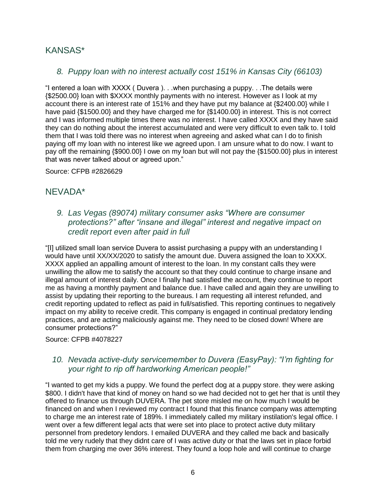### KANSAS\*

### *8. Puppy loan with no interest actually cost 151% in Kansas City (66103)*

"I entered a loan with XXXX ( Duvera ). . .when purchasing a puppy. . .The details were {\$2500.00} loan with \$XXXX monthly payments with no interest. However as I look at my account there is an interest rate of 151% and they have put my balance at {\$2400.00} while I have paid {\$1500.00} and they have charged me for {\$1400.00} in interest. This is not correct and I was informed multiple times there was no interest. I have called XXXX and they have said they can do nothing about the interest accumulated and were very difficult to even talk to. I told them that I was told there was no interest when agreeing and asked what can I do to finish paying off my loan with no interest like we agreed upon. I am unsure what to do now. I want to pay off the remaining {\$900.00} I owe on my loan but will not pay the {\$1500.00} plus in interest that was never talked about or agreed upon."

Source: CFPB #2826629

### NEVADA\*

### *9. Las Vegas (89074) military consumer asks "Where are consumer protections?" after "insane and illegal" interest and negative impact on credit report even after paid in full*

"[I] utilized small loan service Duvera to assist purchasing a puppy with an understanding I would have until XX/XX/2020 to satisfy the amount due. Duvera assigned the loan to XXXX. XXXX applied an appalling amount of interest to the loan. In my constant calls they were unwilling the allow me to satisfy the account so that they could continue to charge insane and illegal amount of interest daily. Once I finally had satisfied the account, they continue to report me as having a monthly payment and balance due. I have called and again they are unwilling to assist by updating their reporting to the bureaus. I am requesting all interest refunded, and credit reporting updated to reflect as paid in full/satisfied. This reporting continues to negatively impact on my ability to receive credit. This company is engaged in continual predatory lending practices, and are acting maliciously against me. They need to be closed down! Where are consumer protections?"

Source: CFPB #4078227

### *10. Nevada active-duty servicemember to Duvera (EasyPay): "I'm fighting for your right to rip off hardworking American people!"*

"I wanted to get my kids a puppy. We found the perfect dog at a puppy store. they were asking \$800. I didn't have that kind of money on hand so we had decided not to get her that is until they offered to finance us through DUVERA. The pet store misled me on how much I would be financed on and when I reviewed my contract I found that this finance company was attempting to charge me an interest rate of 189%. I immediately called my military instilation's legal office. I went over a few different legal acts that were set into place to protect active duty military personnel from predetory lendors. I emailed DUVERA and they called me back and basically told me very rudely that they didnt care of I was active duty or that the laws set in place forbid them from charging me over 36% interest. They found a loop hole and will continue to charge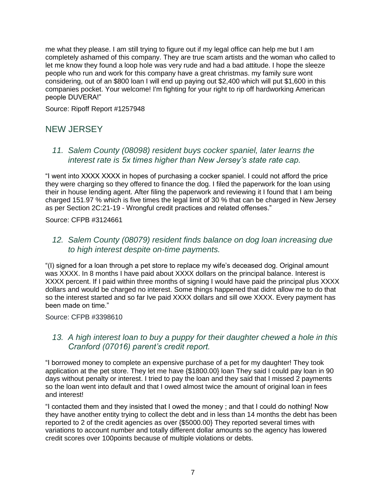me what they please. I am still trying to figure out if my legal office can help me but I am completely ashamed of this company. They are true scam artists and the woman who called to let me know they found a loop hole was very rude and had a bad attitude. I hope the sleeze people who run and work for this company have a great christmas. my family sure wont considering, out of an \$800 loan I will end up paying out \$2,400 which will put \$1,600 in this companies pocket. Your welcome! I'm fighting for your right to rip off hardworking American people DUVERA!"

Source: Ripoff Report #1257948

## NEW JERSEY

#### *11. Salem County (08098) resident buys cocker spaniel, later learns the interest rate is 5x times higher than New Jersey's state rate cap.*

"I went into XXXX XXXX in hopes of purchasing a cocker spaniel. I could not afford the price they were charging so they offered to finance the dog. I filed the paperwork for the loan using their in house lending agent. After filing the paperwork and reviewing it I found that I am being charged 151.97 % which is five times the legal limit of 30 % that can be charged in New Jersey as per Section 2C:21-19 - Wrongful credit practices and related offenses."

Source: CFPB #3124661

*12. Salem County (08079) resident finds balance on dog loan increasing due to high interest despite on-time payments.*

"(I) signed for a loan through a pet store to replace my wife's deceased dog. Original amount was XXXX. In 8 months I have paid about XXXX dollars on the principal balance. Interest is XXXX percent. If I paid within three months of signing I would have paid the principal plus XXXX dollars and would be charged no interest. Some things happened that didnt allow me to do that so the interest started and so far Ive paid XXXX dollars and sill owe XXXX. Every payment has been made on time."

#### Source: CFPB #3398610

#### *13. A high interest loan to buy a puppy for their daughter chewed a hole in this Cranford (07016) parent's credit report.*

"I borrowed money to complete an expensive purchase of a pet for my daughter! They took application at the pet store. They let me have {\$1800.00} loan They said I could pay loan in 90 days without penalty or interest. I tried to pay the loan and they said that I missed 2 payments so the loan went into default and that I owed almost twice the amount of original loan in fees and interest!

"I contacted them and they insisted that I owed the money ; and that I could do nothing! Now they have another entity trying to collect the debt and in less than 14 months the debt has been reported to 2 of the credit agencies as over {\$5000.00} They reported several times with variations to account number and totally different dollar amounts so the agency has lowered credit scores over 100points because of multiple violations or debts.